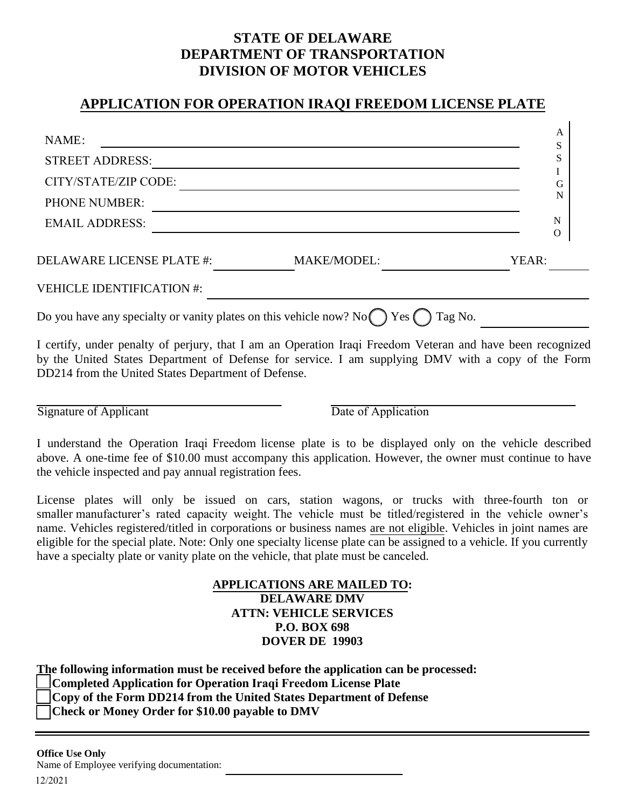## **STATE OF DELAWARE DEPARTMENT OF TRANSPORTATION DIVISION OF MOTOR VEHICLES**

## **APPLICATION FOR OPERATION IRAQI FREEDOM LICENSE PLATE**

| NAME:                                                                                      |                    | Α<br>S        |
|--------------------------------------------------------------------------------------------|--------------------|---------------|
| <b>STREET ADDRESS:</b>                                                                     |                    | S             |
| CITY/STATE/ZIP CODE:                                                                       |                    | G             |
| <b>PHONE NUMBER:</b>                                                                       |                    | N             |
| <b>EMAIL ADDRESS:</b>                                                                      |                    | N<br>$\Omega$ |
| <b>DELAWARE LICENSE PLATE #:</b>                                                           | <b>MAKE/MODEL:</b> | YEAR:         |
| <b>VEHICLE IDENTIFICATION #:</b>                                                           |                    |               |
| Do you have any specialty or vanity plates on this vehicle now? No $\bigcap$ Yes $\bigcap$ |                    | Tag No.       |

I certify, under penalty of perjury, that I am an Operation Iraqi Freedom Veteran and have been recognized by the United States Department of Defense for service. I am supplying DMV with a copy of the Form DD214 from the United States Department of Defense.

Signature of Applicant Date of Application

I understand the Operation Iraqi Freedom license plate is to be displayed only on the vehicle described above. A one-time fee of \$10.00 must accompany this application. However, the owner must continue to have the vehicle inspected and pay annual registration fees.

License plates will only be issued on cars, station wagons, or trucks with three-fourth ton or smaller manufacturer's rated capacity weight. The vehicle must be titled/registered in the vehicle owner's name. Vehicles registered/titled in corporations or business names are not eligible. Vehicles in joint names are eligible for the special plate. Note: Only one specialty license plate can be assigned to a vehicle. If you currently have a specialty plate or vanity plate on the vehicle, that plate must be canceled.

## **APPLICATIONS ARE MAILED TO: DELAWARE DMV ATTN: VEHICLE SERVICES P.O. BOX 698 DOVER DE 19903**

**The following information must be received before the application can be processed:** 

**Completed Application for Operation Iraqi Freedom License Plate**

**Copy of the Form DD214 from the United States Department of Defense** 

**Check or Money Order for \$10.00 payable to DMV**